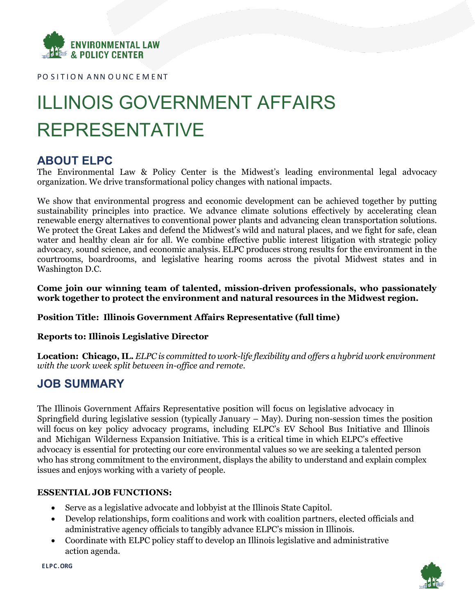

PO SITION ANN OUNCEMENT

# ILLINOIS GOVERNMENT AFFAIRS REPRESENTATIVE

# **ABOUT ELPC**

The Environmental Law & Policy Center is the Midwest's leading environmental legal advocacy organization. We drive transformational policy changes with national impacts.

We show that environmental progress and economic development can be achieved together by putting sustainability principles into practice. We advance climate solutions effectively by accelerating clean renewable energy alternatives to conventional power plants and advancing clean transportation solutions. We protect the Great Lakes and defend the Midwest's wild and natural places, and we fight for safe, clean water and healthy clean air for all. We combine effective public interest litigation with strategic policy advocacy, sound science, and economic analysis. ELPC produces strong results for the environment in the courtrooms, boardrooms, and legislative hearing rooms across the pivotal Midwest states and in Washington D.C.

**Come join our winning team of talented, mission-driven professionals, who passionately work together to protect the environment and natural resources in the Midwest region.**

## **Position Title: Illinois Government Affairs Representative (full time)**

## **Reports to: Illinois Legislative Director**

**Location: Chicago, IL.** *ELPC is committed to work-life flexibility and offers a hybrid work environment with the work week split between in-office and remote.*

# **JOB SUMMARY**

The Illinois Government Affairs Representative position will focus on legislative advocacy in Springfield during legislative session (typically January – May). During non-session times the position will focus on key policy advocacy programs, including ELPC's EV School Bus Initiative and Illinois and Michigan Wilderness Expansion Initiative. This is a critical time in which ELPC's effective advocacy is essential for protecting our core environmental values so we are seeking a talented person who has strong commitment to the environment, displays the ability to understand and explain complex issues and enjoys working with a variety of people.

## **ESSENTIAL JOB FUNCTIONS:**

- Serve as a legislative advocate and lobbyist at the Illinois State Capitol.
- Develop relationships, form coalitions and work with coalition partners, elected officials and administrative agency officials to tangibly advance ELPC's mission in Illinois.
- Coordinate with ELPC policy staff to develop an Illinois legislative and administrative action agenda.